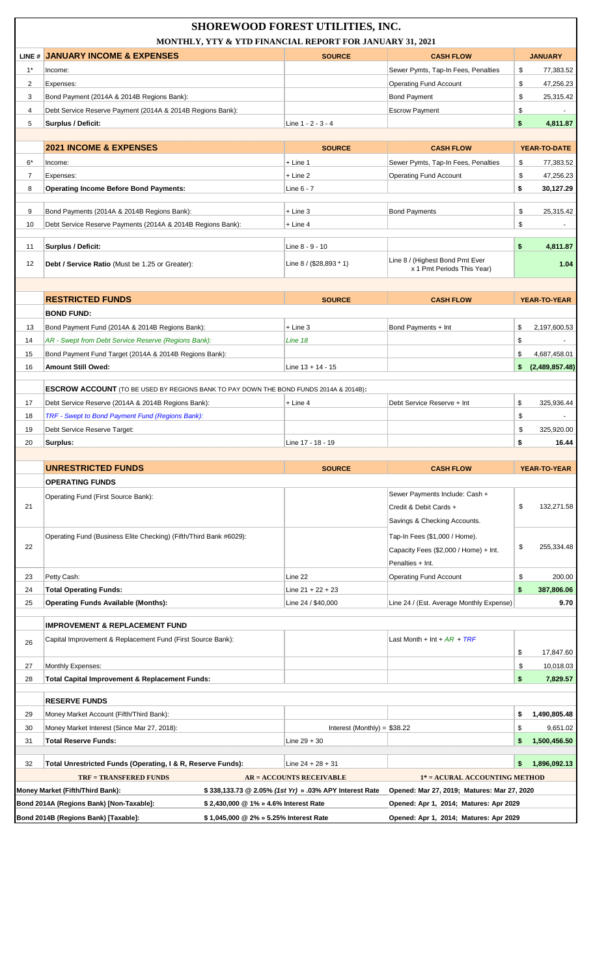| <b>SHOREWOOD FOREST UTILITIES, INC.</b><br>MONTHLY, YTY & YTD FINANCIAL REPORT FOR JANUARY 31, 2021                         |                                                                                              |                                                        |                                                               |                      |
|-----------------------------------------------------------------------------------------------------------------------------|----------------------------------------------------------------------------------------------|--------------------------------------------------------|---------------------------------------------------------------|----------------------|
|                                                                                                                             | LINE # JANUARY INCOME & EXPENSES                                                             | <b>SOURCE</b>                                          | <b>CASH FLOW</b>                                              | <b>JANUARY</b>       |
| $1^*$                                                                                                                       | Income:                                                                                      |                                                        | Sewer Pymts, Tap-In Fees, Penalties                           | \$<br>77,383.52      |
| 2                                                                                                                           | Expenses:                                                                                    |                                                        | <b>Operating Fund Account</b>                                 | \$<br>47,256.23      |
| 3                                                                                                                           | Bond Payment (2014A & 2014B Regions Bank):                                                   |                                                        | <b>Bond Payment</b>                                           | \$<br>25,315.42      |
| 4                                                                                                                           | Debt Service Reserve Payment (2014A & 2014B Regions Bank):                                   |                                                        | <b>Escrow Payment</b>                                         | \$                   |
| 5                                                                                                                           | <b>Surplus / Deficit:</b>                                                                    | Line 1 - 2 - 3 - 4                                     |                                                               | \$<br>4,811.87       |
|                                                                                                                             |                                                                                              |                                                        |                                                               |                      |
|                                                                                                                             | <b>2021 INCOME &amp; EXPENSES</b>                                                            | <b>SOURCE</b>                                          | <b>CASH FLOW</b>                                              | YEAR-TO-DATE         |
| 6*                                                                                                                          | Income:                                                                                      | + Line 1                                               | Sewer Pymts, Tap-In Fees, Penalties                           | \$<br>77,383.52      |
| 7                                                                                                                           | Expenses:                                                                                    | $+$ Line 2                                             | <b>Operating Fund Account</b>                                 | \$<br>47,256.23      |
| 8                                                                                                                           | <b>Operating Income Before Bond Payments:</b>                                                | Line 6 - 7                                             |                                                               | \$<br>30,127.29      |
|                                                                                                                             |                                                                                              |                                                        |                                                               |                      |
| 9                                                                                                                           | Bond Payments (2014A & 2014B Regions Bank):                                                  | $+$ Line 3                                             | <b>Bond Payments</b>                                          | \$<br>25,315.42      |
| 10                                                                                                                          | Debt Service Reserve Payments (2014A & 2014B Regions Bank):                                  | + Line 4                                               |                                                               | \$                   |
|                                                                                                                             |                                                                                              |                                                        |                                                               |                      |
| 11                                                                                                                          | Surplus / Deficit:                                                                           | Line 8 - 9 - 10                                        |                                                               | \$<br>4,811.87       |
| 12                                                                                                                          | <b>Debt / Service Ratio</b> (Must be 1.25 or Greater):                                       | Line $8 / (28,893 * 1)$                                | Line 8 / (Highest Bond Pmt Ever<br>x 1 Pmt Periods This Year) | 1.04                 |
|                                                                                                                             |                                                                                              |                                                        |                                                               |                      |
|                                                                                                                             |                                                                                              |                                                        |                                                               |                      |
|                                                                                                                             | <b>RESTRICTED FUNDS</b>                                                                      | <b>SOURCE</b>                                          | <b>CASH FLOW</b>                                              | YEAR-TO-YEAR         |
|                                                                                                                             | <b>BOND FUND:</b>                                                                            |                                                        |                                                               |                      |
| 13                                                                                                                          | Bond Payment Fund (2014A & 2014B Regions Bank):                                              | $+$ Line 3                                             | Bond Payments + Int                                           | \$<br>2,197,600.53   |
| 14                                                                                                                          | AR - Swept from Debt Service Reserve (Regions Bank):                                         | Line 18                                                |                                                               | \$<br>$\omega$       |
| 15                                                                                                                          | Bond Payment Fund Target (2014A & 2014B Regions Bank):                                       |                                                        |                                                               | \$<br>4,687,458.01   |
| 16                                                                                                                          | <b>Amount Still Owed:</b>                                                                    | Line $13 + 14 - 15$                                    |                                                               | (2,489,857.48)<br>\$ |
|                                                                                                                             | <b>ESCROW ACCOUNT</b> (TO BE USED BY REGIONS BANK TO PAY DOWN THE BOND FUNDS 2014A & 2014B): |                                                        |                                                               |                      |
|                                                                                                                             |                                                                                              |                                                        | Debt Service Reserve + Int                                    |                      |
| 17                                                                                                                          | Debt Service Reserve (2014A & 2014B Regions Bank):                                           | + Line 4                                               |                                                               | \$<br>325,936.44     |
| 18                                                                                                                          | TRF - Swept to Bond Payment Fund (Regions Bank):                                             |                                                        |                                                               | \$<br>÷.             |
| 19                                                                                                                          | Debt Service Reserve Target:                                                                 |                                                        |                                                               | \$<br>325,920.00     |
| 20                                                                                                                          | Surplus:                                                                                     | Line 17 - 18 - 19                                      |                                                               | \$<br>16.44          |
|                                                                                                                             | <b>UNRESTRICTED FUNDS</b>                                                                    | <b>SOURCE</b>                                          | <b>CASH FLOW</b>                                              | <b>YEAR-TO-YEAR</b>  |
|                                                                                                                             | <b>OPERATING FUNDS</b>                                                                       |                                                        |                                                               |                      |
|                                                                                                                             |                                                                                              |                                                        | Sewer Payments Include: Cash +                                |                      |
| 21                                                                                                                          | Operating Fund (First Source Bank):                                                          |                                                        | Credit & Debit Cards +                                        | \$<br>132,271.58     |
|                                                                                                                             |                                                                                              |                                                        | Savings & Checking Accounts.                                  |                      |
|                                                                                                                             |                                                                                              |                                                        |                                                               |                      |
| 22                                                                                                                          | Operating Fund (Business Elite Checking) (Fifth/Third Bank #6029):                           |                                                        | Tap-In Fees (\$1,000 / Home).                                 | \$<br>255,334.48     |
|                                                                                                                             |                                                                                              |                                                        | Capacity Fees (\$2,000 / Home) + Int.                         |                      |
|                                                                                                                             |                                                                                              |                                                        | Penalties + Int.                                              |                      |
| 23                                                                                                                          | Petty Cash:                                                                                  | Line 22                                                | <b>Operating Fund Account</b>                                 | \$<br>200.00         |
| 24                                                                                                                          | <b>Total Operating Funds:</b>                                                                | Line $21 + 22 + 23$                                    |                                                               | \$<br>387,806.06     |
| 25                                                                                                                          | <b>Operating Funds Available (Months):</b>                                                   | Line 24 / \$40,000                                     | Line 24 / (Est. Average Monthly Expense)                      | 9.70                 |
|                                                                                                                             | <b>IMPROVEMENT &amp; REPLACEMENT FUND</b>                                                    |                                                        |                                                               |                      |
|                                                                                                                             | Capital Improvement & Replacement Fund (First Source Bank):                                  |                                                        | Last Month + Int + $AR$ + $TRF$                               |                      |
| 26                                                                                                                          |                                                                                              |                                                        |                                                               | \$<br>17,847.60      |
| 27                                                                                                                          | Monthly Expenses:                                                                            |                                                        |                                                               | \$<br>10,018.03      |
| 28                                                                                                                          | Total Capital Improvement & Replacement Funds:                                               |                                                        |                                                               | \$<br>7,829.57       |
|                                                                                                                             |                                                                                              |                                                        |                                                               |                      |
|                                                                                                                             | <b>RESERVE FUNDS</b>                                                                         |                                                        |                                                               |                      |
| 29                                                                                                                          | Money Market Account (Fifth/Third Bank):                                                     |                                                        |                                                               | 1,490,805.48<br>\$   |
| 30                                                                                                                          | Money Market Interest (Since Mar 27, 2018):                                                  | Interest (Monthly) = $$38.22$                          |                                                               | 9,651.02<br>\$       |
| 31                                                                                                                          | <b>Total Reserve Funds:</b>                                                                  | Line $29 + 30$                                         |                                                               | 1,500,456.50<br>\$   |
|                                                                                                                             |                                                                                              |                                                        |                                                               |                      |
| 32                                                                                                                          | Total Unrestricted Funds (Operating, I & R, Reserve Funds):                                  | Line $24 + 28 + 31$                                    |                                                               | 1,896,092.13<br>\$   |
|                                                                                                                             | <b>TRF = TRANSFERED FUNDS</b>                                                                | <b>AR = ACCOUNTS RECEIVABLE</b>                        | 1* = ACURAL ACCOUNTING METHOD                                 |                      |
|                                                                                                                             | Money Market (Fifth/Third Bank):                                                             | \$338,133.73 @ 2.05% (1st Yr) » .03% APY Interest Rate | Opened: Mar 27, 2019; Matures: Mar 27, 2020                   |                      |
| Bond 2014A (Regions Bank) [Non-Taxable]:<br>\$2,430,000 @ 1% » 4.6% Interest Rate<br>Opened: Apr 1, 2014; Matures: Apr 2029 |                                                                                              |                                                        |                                                               |                      |
|                                                                                                                             | Bond 2014B (Regions Bank) [Taxable]:<br>\$1,045,000 @ 2% » 5.25% Interest Rate               |                                                        | Opened: Apr 1, 2014; Matures: Apr 2029                        |                      |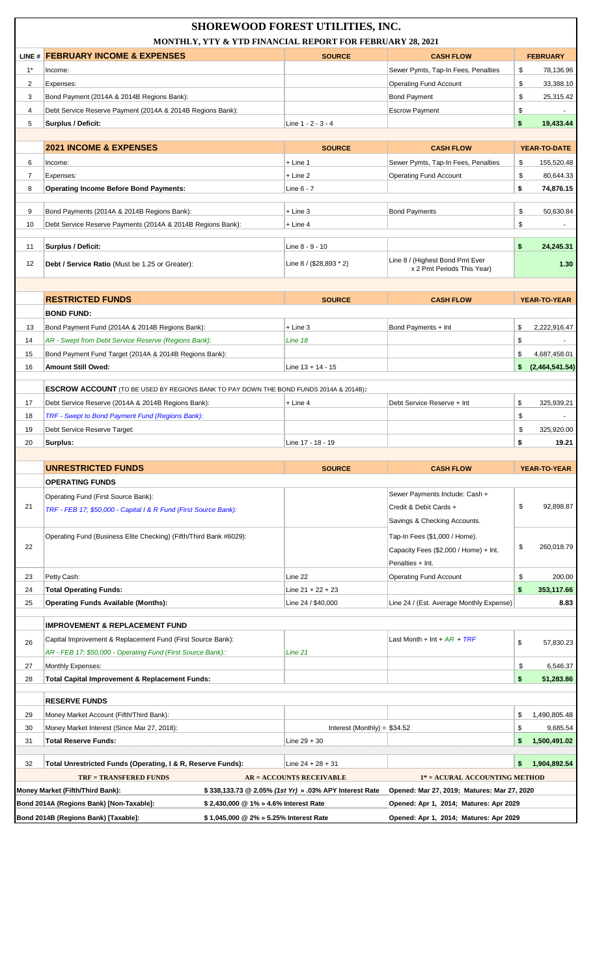| <b>SHOREWOOD FOREST UTILITIES, INC.</b><br>MONTHLY, YTY & YTD FINANCIAL REPORT FOR FEBRUARY 28, 2021                                      |                                                                                              |                               |                                                               |                      |  |
|-------------------------------------------------------------------------------------------------------------------------------------------|----------------------------------------------------------------------------------------------|-------------------------------|---------------------------------------------------------------|----------------------|--|
|                                                                                                                                           | LINE # FEBRUARY INCOME & EXPENSES                                                            | <b>SOURCE</b>                 | <b>CASH FLOW</b>                                              | <b>FEBRUARY</b>      |  |
| $1^*$                                                                                                                                     | Income:                                                                                      |                               | Sewer Pymts, Tap-In Fees, Penalties                           | \$<br>78,136.96      |  |
| $\overline{2}$                                                                                                                            | Expenses:                                                                                    |                               | <b>Operating Fund Account</b>                                 | \$<br>33,388.10      |  |
| 3                                                                                                                                         | Bond Payment (2014A & 2014B Regions Bank):                                                   |                               | <b>Bond Payment</b>                                           | \$<br>25,315.42      |  |
| 4                                                                                                                                         | Debt Service Reserve Payment (2014A & 2014B Regions Bank):                                   |                               | <b>Escrow Payment</b>                                         | \$                   |  |
| 5                                                                                                                                         | Surplus / Deficit:                                                                           | Line 1 - 2 - 3 - 4            |                                                               | \$<br>19,433.44      |  |
|                                                                                                                                           |                                                                                              |                               |                                                               |                      |  |
|                                                                                                                                           | <b>2021 INCOME &amp; EXPENSES</b>                                                            | <b>SOURCE</b>                 | <b>CASH FLOW</b>                                              | YEAR-TO-DATE         |  |
| 6                                                                                                                                         | Income:                                                                                      | $+$ Line 1                    | Sewer Pymts, Tap-In Fees, Penalties                           | \$<br>155,520.48     |  |
| 7                                                                                                                                         | Expenses:                                                                                    | $+$ Line 2                    | <b>Operating Fund Account</b>                                 | \$<br>80,644.33      |  |
| 8                                                                                                                                         | <b>Operating Income Before Bond Payments:</b>                                                | Line 6 - 7                    |                                                               | \$<br>74,876.15      |  |
|                                                                                                                                           |                                                                                              |                               |                                                               |                      |  |
| 9                                                                                                                                         | Bond Payments (2014A & 2014B Regions Bank):                                                  | $+$ Line 3                    | <b>Bond Payments</b>                                          | \$<br>50.630.84      |  |
| 10                                                                                                                                        | Debt Service Reserve Payments (2014A & 2014B Regions Bank):                                  | + Line 4                      |                                                               | \$                   |  |
| 11                                                                                                                                        | Surplus / Deficit:                                                                           | Line 8 - 9 - 10               |                                                               | \$<br>24,245.31      |  |
| 12                                                                                                                                        | Debt / Service Ratio (Must be 1.25 or Greater):                                              | Line $8 / (28,893 * 2)$       | Line 8 / (Highest Bond Pmt Ever<br>x 2 Pmt Periods This Year) | 1.30                 |  |
|                                                                                                                                           |                                                                                              |                               |                                                               |                      |  |
|                                                                                                                                           | <b>RESTRICTED FUNDS</b>                                                                      | <b>SOURCE</b>                 | <b>CASH FLOW</b>                                              | YEAR-TO-YEAR         |  |
|                                                                                                                                           | <b>BOND FUND:</b>                                                                            |                               |                                                               |                      |  |
| 13                                                                                                                                        | Bond Payment Fund (2014A & 2014B Regions Bank):                                              | $+$ Line 3                    | Bond Payments + Int                                           | 2,222,916.47<br>\$   |  |
| 14                                                                                                                                        | AR - Swept from Debt Service Reserve (Regions Bank):                                         | Line 18                       |                                                               | \$                   |  |
| 15                                                                                                                                        | Bond Payment Fund Target (2014A & 2014B Regions Bank):                                       |                               |                                                               | \$<br>4,687,458.01   |  |
| 16                                                                                                                                        | <b>Amount Still Owed:</b>                                                                    | Line $13 + 14 - 15$           |                                                               | \$<br>(2,464,541.54) |  |
|                                                                                                                                           |                                                                                              |                               |                                                               |                      |  |
|                                                                                                                                           | <b>ESCROW ACCOUNT</b> (TO BE USED BY REGIONS BANK TO PAY DOWN THE BOND FUNDS 2014A & 2014B): |                               |                                                               |                      |  |
| 17                                                                                                                                        | Debt Service Reserve (2014A & 2014B Regions Bank):                                           | $+$ Line 4                    | Debt Service Reserve + Int                                    | \$<br>325.939.21     |  |
| 18                                                                                                                                        | TRF - Swept to Bond Payment Fund (Regions Bank):                                             |                               |                                                               | \$                   |  |
| 19                                                                                                                                        | Debt Service Reserve Target:                                                                 |                               |                                                               | \$<br>325,920.00     |  |
| 20                                                                                                                                        | Surplus:                                                                                     | Line 17 - 18 - 19             |                                                               | \$<br>19.21          |  |
|                                                                                                                                           |                                                                                              |                               |                                                               |                      |  |
|                                                                                                                                           | <b>UNRESTRICTED FUNDS</b>                                                                    | <b>SOURCE</b>                 | <b>CASH FLOW</b>                                              | <b>YEAR-TO-YEAR</b>  |  |
|                                                                                                                                           | <b>OPERATING FUNDS</b>                                                                       |                               |                                                               |                      |  |
|                                                                                                                                           | Operating Fund (First Source Bank):                                                          |                               | Sewer Payments Include: Cash +                                |                      |  |
| 21                                                                                                                                        | TRF - FEB 17; \$50,000 - Capital I & R Fund (First Source Bank):                             |                               | Credit & Debit Cards +                                        | \$<br>92.898.87      |  |
|                                                                                                                                           |                                                                                              |                               | Savings & Checking Accounts.                                  |                      |  |
|                                                                                                                                           | Operating Fund (Business Elite Checking) (Fifth/Third Bank #6029):                           |                               | Tap-In Fees (\$1,000 / Home).                                 |                      |  |
| 22                                                                                                                                        |                                                                                              |                               | Capacity Fees (\$2,000 / Home) + Int.                         | \$<br>260,018.79     |  |
|                                                                                                                                           |                                                                                              |                               | Penalties + Int.                                              |                      |  |
| 23                                                                                                                                        | Petty Cash:                                                                                  | Line 22                       | <b>Operating Fund Account</b>                                 | \$<br>200.00         |  |
| 24                                                                                                                                        | <b>Total Operating Funds:</b>                                                                | Line $21 + 22 + 23$           |                                                               | \$<br>353,117.66     |  |
| 25                                                                                                                                        | <b>Operating Funds Available (Months):</b>                                                   | Line 24 / \$40,000            | Line 24 / (Est. Average Monthly Expense)                      | 8.83                 |  |
|                                                                                                                                           |                                                                                              |                               |                                                               |                      |  |
|                                                                                                                                           | <b>IMPROVEMENT &amp; REPLACEMENT FUND</b>                                                    |                               |                                                               |                      |  |
| 26                                                                                                                                        | Capital Improvement & Replacement Fund (First Source Bank):                                  |                               | Last Month + Int + $AR$ + $TRF$                               | \$<br>57,830.23      |  |
|                                                                                                                                           | AR - FEB 17; \$50,000 - Operating Fund (First Source Bank)::                                 | Line 21                       |                                                               |                      |  |
| 27                                                                                                                                        | Monthly Expenses:                                                                            |                               |                                                               | \$<br>6,546.37       |  |
| 28                                                                                                                                        | Total Capital Improvement & Replacement Funds:                                               |                               |                                                               | \$<br>51,283.86      |  |
|                                                                                                                                           |                                                                                              |                               |                                                               |                      |  |
|                                                                                                                                           | <b>RESERVE FUNDS</b>                                                                         |                               |                                                               |                      |  |
| 29                                                                                                                                        | Money Market Account (Fifth/Third Bank):                                                     |                               |                                                               | \$<br>1,490,805.48   |  |
| 30                                                                                                                                        | Money Market Interest (Since Mar 27, 2018):                                                  | Interest (Monthly) = $$34.52$ |                                                               | \$<br>9,685.54       |  |
| 31                                                                                                                                        | <b>Total Reserve Funds:</b>                                                                  | Line $29 + 30$                |                                                               | 1,500,491.02<br>\$   |  |
|                                                                                                                                           |                                                                                              |                               |                                                               |                      |  |
| 32                                                                                                                                        | Total Unrestricted Funds (Operating, I & R, Reserve Funds):                                  | Line $24 + 28 + 31$           |                                                               | 1,904,892.54<br>\$   |  |
| <b>TRF = TRANSFERED FUNDS</b><br><b>AR = ACCOUNTS RECEIVABLE</b><br>1* = ACURAL ACCOUNTING METHOD                                         |                                                                                              |                               |                                                               |                      |  |
| Money Market (Fifth/Third Bank):<br>\$338,133.73 @ 2.05% (1st Yr) » .03% APY Interest Rate<br>Opened: Mar 27, 2019; Matures: Mar 27, 2020 |                                                                                              |                               |                                                               |                      |  |
| Bond 2014A (Regions Bank) [Non-Taxable]:<br>\$2,430,000 @ 1% » 4.6% Interest Rate<br>Opened: Apr 1, 2014; Matures: Apr 2029               |                                                                                              |                               |                                                               |                      |  |
|                                                                                                                                           | Bond 2014B (Regions Bank) [Taxable]:<br>\$1,045,000 @ 2% » 5.25% Interest Rate               |                               | Opened: Apr 1, 2014; Matures: Apr 2029                        |                      |  |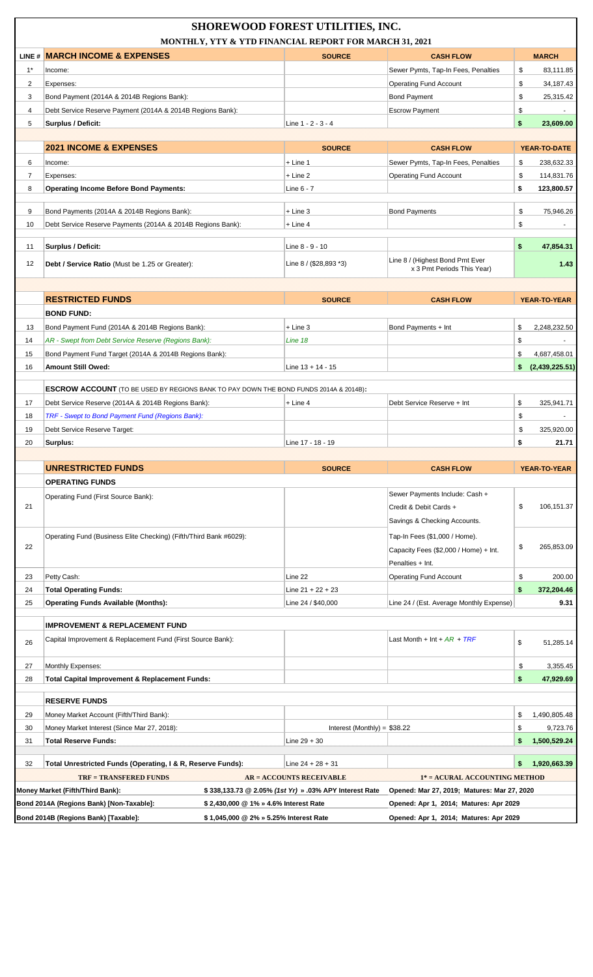| <b>SHOREWOOD FOREST UTILITIES, INC.</b><br>MONTHLY, YTY & YTD FINANCIAL REPORT FOR MARCH 31, 2021                                         |                                                                                              |                                 |                                          |                                            |  |
|-------------------------------------------------------------------------------------------------------------------------------------------|----------------------------------------------------------------------------------------------|---------------------------------|------------------------------------------|--------------------------------------------|--|
|                                                                                                                                           | LINE # MARCH INCOME & EXPENSES                                                               | <b>SOURCE</b>                   | <b>CASH FLOW</b>                         | <b>MARCH</b>                               |  |
| $1^*$                                                                                                                                     | Income:                                                                                      |                                 | Sewer Pymts, Tap-In Fees, Penalties      | \$<br>83,111.85                            |  |
| 2                                                                                                                                         | Expenses:                                                                                    |                                 | <b>Operating Fund Account</b>            | \$<br>34,187.43                            |  |
| 3                                                                                                                                         | Bond Payment (2014A & 2014B Regions Bank):                                                   |                                 | <b>Bond Payment</b>                      | \$<br>25,315.42                            |  |
| 4                                                                                                                                         | Debt Service Reserve Payment (2014A & 2014B Regions Bank):                                   |                                 | <b>Escrow Payment</b>                    | \$                                         |  |
| 5                                                                                                                                         | Surplus / Deficit:                                                                           | Line 1 - 2 - 3 - 4              |                                          | \$<br>23,609.00                            |  |
|                                                                                                                                           |                                                                                              |                                 |                                          |                                            |  |
|                                                                                                                                           | <b>2021 INCOME &amp; EXPENSES</b>                                                            | <b>SOURCE</b>                   | <b>CASH FLOW</b>                         | YEAR-TO-DATE                               |  |
| 6                                                                                                                                         | Income:                                                                                      | $+$ Line 1                      | Sewer Pymts, Tap-In Fees, Penalties      | \$<br>238,632.33                           |  |
| 7                                                                                                                                         | Expenses:                                                                                    | $+$ Line 2                      | <b>Operating Fund Account</b>            | 114,831.76<br>\$                           |  |
| 8                                                                                                                                         | <b>Operating Income Before Bond Payments:</b>                                                | Line 6 - 7                      |                                          | \$<br>123,800.57                           |  |
|                                                                                                                                           |                                                                                              |                                 |                                          |                                            |  |
| 9                                                                                                                                         | Bond Payments (2014A & 2014B Regions Bank):                                                  | $+$ Line 3                      | <b>Bond Payments</b>                     | \$<br>75.946.26                            |  |
| 10                                                                                                                                        | Debt Service Reserve Payments (2014A & 2014B Regions Bank):                                  | + Line 4                        |                                          | \$                                         |  |
| 11                                                                                                                                        | Surplus / Deficit:                                                                           | Line 8 - 9 - 10                 |                                          | \$<br>47,854.31                            |  |
|                                                                                                                                           |                                                                                              |                                 | Line 8 / (Highest Bond Pmt Ever          |                                            |  |
| 12                                                                                                                                        | Debt / Service Ratio (Must be 1.25 or Greater):                                              | Line 8 / (\$28,893 *3)          | x 3 Pmt Periods This Year)               | 1.43                                       |  |
|                                                                                                                                           |                                                                                              |                                 |                                          |                                            |  |
|                                                                                                                                           | <b>RESTRICTED FUNDS</b>                                                                      | <b>SOURCE</b>                   | <b>CASH FLOW</b>                         | YEAR-TO-YEAR                               |  |
|                                                                                                                                           | <b>BOND FUND:</b>                                                                            |                                 |                                          |                                            |  |
| 13                                                                                                                                        | Bond Payment Fund (2014A & 2014B Regions Bank):                                              | $+$ Line 3                      | Bond Payments + Int                      | \$<br>2,248,232.50                         |  |
| 14                                                                                                                                        | AR - Swept from Debt Service Reserve (Regions Bank):                                         | Line 18                         |                                          | \$                                         |  |
|                                                                                                                                           |                                                                                              |                                 |                                          |                                            |  |
| 15<br>16                                                                                                                                  | Bond Payment Fund Target (2014A & 2014B Regions Bank):<br><b>Amount Still Owed:</b>          | Line $13 + 14 - 15$             |                                          | \$<br>4,687,458.01<br>\$<br>(2,439,225.51) |  |
|                                                                                                                                           |                                                                                              |                                 |                                          |                                            |  |
|                                                                                                                                           | <b>ESCROW ACCOUNT</b> (TO BE USED BY REGIONS BANK TO PAY DOWN THE BOND FUNDS 2014A & 2014B): |                                 |                                          |                                            |  |
| 17                                                                                                                                        | Debt Service Reserve (2014A & 2014B Regions Bank):                                           | + Line 4                        | Debt Service Reserve + Int               | \$<br>325,941.71                           |  |
| 18                                                                                                                                        | TRF - Swept to Bond Payment Fund (Regions Bank):                                             |                                 |                                          | \$                                         |  |
| 19                                                                                                                                        | Debt Service Reserve Target:                                                                 |                                 |                                          | \$<br>325.920.00                           |  |
| 20                                                                                                                                        | Surplus:                                                                                     | Line 17 - 18 - 19               |                                          | \$<br>21.71                                |  |
|                                                                                                                                           |                                                                                              |                                 |                                          |                                            |  |
|                                                                                                                                           | <b>UNRESTRICTED FUNDS</b>                                                                    | <b>SOURCE</b>                   | <b>CASH FLOW</b>                         | <b>YEAR-TO-YEAR</b>                        |  |
|                                                                                                                                           | <b>OPERATING FUNDS</b>                                                                       |                                 |                                          |                                            |  |
|                                                                                                                                           | Operating Fund (First Source Bank):                                                          |                                 | Sewer Payments Include: Cash +           |                                            |  |
| 21                                                                                                                                        |                                                                                              |                                 | Credit & Debit Cards +                   | \$<br>106,151.37                           |  |
|                                                                                                                                           |                                                                                              |                                 | Savings & Checking Accounts.             |                                            |  |
|                                                                                                                                           | Operating Fund (Business Elite Checking) (Fifth/Third Bank #6029):                           |                                 | Tap-In Fees (\$1,000 / Home).            |                                            |  |
| 22                                                                                                                                        |                                                                                              |                                 | Capacity Fees (\$2,000 / Home) + Int.    | \$<br>265,853.09                           |  |
|                                                                                                                                           |                                                                                              |                                 | Penalties + Int.                         |                                            |  |
| 23                                                                                                                                        | Petty Cash:                                                                                  | Line 22                         | <b>Operating Fund Account</b>            | \$<br>200.00                               |  |
| 24                                                                                                                                        | <b>Total Operating Funds:</b>                                                                | Line $21 + 22 + 23$             |                                          | \$<br>372,204.46                           |  |
| 25                                                                                                                                        |                                                                                              | Line 24 / \$40,000              |                                          | 9.31                                       |  |
|                                                                                                                                           | <b>Operating Funds Available (Months):</b>                                                   |                                 | Line 24 / (Est. Average Monthly Expense) |                                            |  |
|                                                                                                                                           | <b>IMPROVEMENT &amp; REPLACEMENT FUND</b>                                                    |                                 |                                          |                                            |  |
| 26                                                                                                                                        | Capital Improvement & Replacement Fund (First Source Bank):                                  |                                 | Last Month + Int + $AR$ + $TRF$          | \$<br>51,285.14                            |  |
| 27                                                                                                                                        | Monthly Expenses:                                                                            |                                 |                                          | \$<br>3,355.45                             |  |
| 28                                                                                                                                        | Total Capital Improvement & Replacement Funds:                                               |                                 |                                          | \$<br>47,929.69                            |  |
|                                                                                                                                           |                                                                                              |                                 |                                          |                                            |  |
|                                                                                                                                           | <b>RESERVE FUNDS</b>                                                                         |                                 |                                          |                                            |  |
| 29                                                                                                                                        | Money Market Account (Fifth/Third Bank):                                                     |                                 |                                          | 1,490,805.48<br>\$                         |  |
| 30                                                                                                                                        | Money Market Interest (Since Mar 27, 2018):                                                  | Interest (Monthly) = $$38.22$   |                                          | 9,723.76<br>\$                             |  |
| 31                                                                                                                                        | <b>Total Reserve Funds:</b>                                                                  | Line $29 + 30$                  |                                          | 1,500,529.24<br>\$                         |  |
|                                                                                                                                           |                                                                                              |                                 |                                          |                                            |  |
| 32                                                                                                                                        | Total Unrestricted Funds (Operating, I & R, Reserve Funds):                                  | Line $24 + 28 + 31$             |                                          | 1,920,663.39<br>\$                         |  |
|                                                                                                                                           | <b>TRF = TRANSFERED FUNDS</b>                                                                | <b>AR = ACCOUNTS RECEIVABLE</b> | 1* = ACURAL ACCOUNTING METHOD            |                                            |  |
| Money Market (Fifth/Third Bank):<br>\$338,133.73 @ 2.05% (1st Yr) » .03% APY Interest Rate<br>Opened: Mar 27, 2019; Matures: Mar 27, 2020 |                                                                                              |                                 |                                          |                                            |  |
|                                                                                                                                           | Bond 2014A (Regions Bank) [Non-Taxable]:<br>\$2,430,000 @ 1% » 4.6% Interest Rate            |                                 | Opened: Apr 1, 2014; Matures: Apr 2029   |                                            |  |
|                                                                                                                                           | Bond 2014B (Regions Bank) [Taxable]:<br>\$1,045,000 @ 2% » 5.25% Interest Rate               |                                 | Opened: Apr 1, 2014; Matures: Apr 2029   |                                            |  |